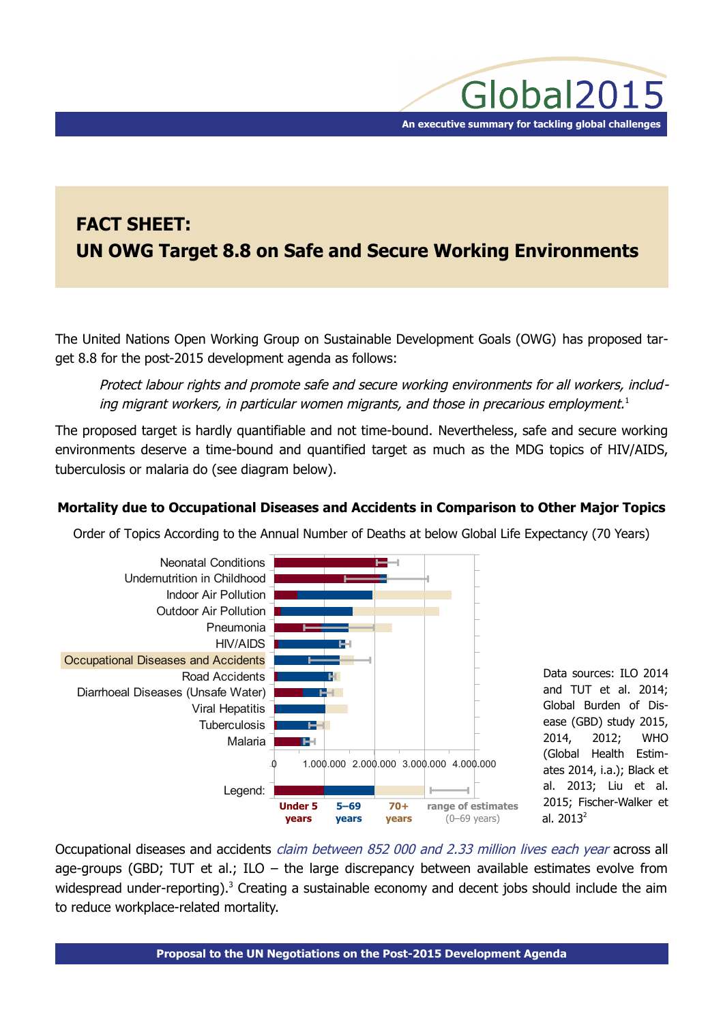# **FACT SHEET: UN OWG Target 8.8 on Safe and Secure Working Environments**

The United Nations Open Working Group on Sustainable Development Goals (OWG) has proposed target 8.8 for the post-2015 development agenda as follows:

Protect labour rights and promote safe and secure working environments for all workers, includ-ing migrant workers, in particular women migrants, and those in precarious employment.<sup>[1](#page-2-0)</sup>

The proposed target is hardly quantifiable and not time-bound. Nevertheless, safe and secure working environments deserve a time-bound and quantified target as much as the MDG topics of HIV/AIDS, tuberculosis or malaria do (see diagram below).

# **Mortality due to Occupational Diseases and Accidents in Comparison to Other Major Topics**

Order of Topics According to the Annual Number of Deaths at below Global Life Expectancy (70 Years)



Occupational diseases and accidents *claim between 852 000 and 2.33 million lives each year* across all age-groups (GBD; TUT et al.; ILO – the large discrepancy between available estimates evolve from widespread under-reporting).<sup>[3](#page-2-2)</sup> Creating a sustainable economy and decent jobs should include the aim to reduce workplace-related mortality.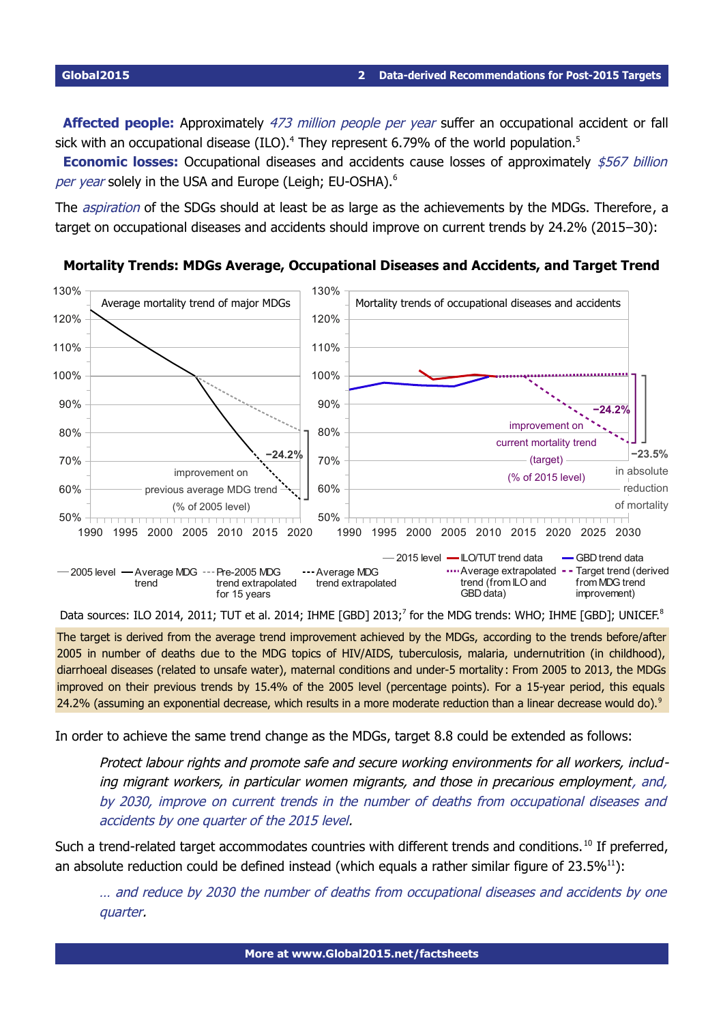Affected people: Approximately 473 million people per year suffer an occupational accident or fall sick with an occupational disease (ILO).<sup>[4](#page-2-3)</sup> They represent 6.79% of the world population.<sup>[5](#page-2-4)</sup>

**Economic losses:** Occupational diseases and accidents cause losses of approximately \$567 billion per year solely in the USA and Europe (Leigh; EU-OSHA).<sup>[6](#page-2-5)</sup>

The *aspiration* of the SDGs should at least be as large as the achievements by the MDGs. Therefore, a target on occupational diseases and accidents should improve on current trends by 24.2% (2015–30):



**Mortality Trends: MDGs Average, Occupational Diseases and Accidents, and Target Trend**

Data sources: ILO 2014, 2011; TUT et al. 2014; IHME [GBD] 2013;<sup>[7](#page-2-6)</sup> for the MDG trends: WHO; IHME [GBD]; UNICEF.<sup>[8](#page-2-7)</sup>

The target is derived from the average trend improvement achieved by the MDGs, according to the trends before/after 2005 in number of deaths due to the MDG topics of HIV/AIDS, tuberculosis, malaria, undernutrition (in childhood), diarrhoeal diseases (related to unsafe water), maternal conditions and under-5 mortality: From 2005 to 2013, the MDGs improved on their previous trends by 15.4% of the 2005 level (percentage points). For a 15-year period, this equals 24.2% (assuming an exponential decrease, which results in a more moderate reduction than a linear decrease would do).<sup>[9](#page-3-0)</sup>

In order to achieve the same trend change as the MDGs, target 8.8 could be extended as follows:

Protect labour rights and promote safe and secure working environments for all workers, including migrant workers, in particular women migrants, and those in precarious employment, and, by 2030, improve on current trends in the number of deaths from occupational diseases and accidents by one quarter of the 2015 level.

Such a trend-related target accommodates countries with different trends and conditions. <sup>[10](#page-3-1)</sup> If preferred, an absolute reduction could be defined instead (which equals a rather similar figure of  $23.5\%^{11}$  $23.5\%^{11}$  $23.5\%^{11}$ ):

… and reduce by 2030 the number of deaths from occupational diseases and accidents by one quarter.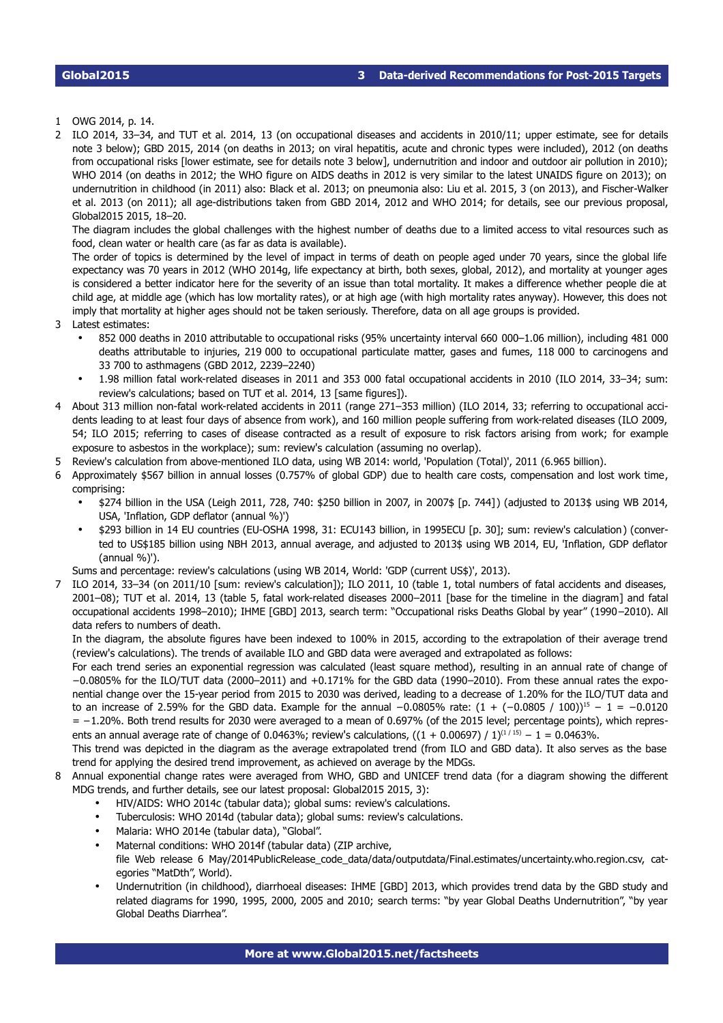<span id="page-2-0"></span>1 OWG 2014, p. 14.

<span id="page-2-1"></span>2 ILO 2014, 33–34, and TUT et al. 2014, 13 (on occupational diseases and accidents in 2010/11; upper estimate, see for details note [3](#page-2-2) below); GBD 2015, 2014 (on deaths in 2013; on viral hepatitis, acute and chronic types were included), 2012 (on deaths from occupational risks [lower estimate, see for details note [3](#page-2-2) below], undernutrition and indoor and outdoor air pollution in 2010); WHO 2014 (on deaths in 2012; the WHO figure on AIDS deaths in 2012 is very similar to the latest UNAIDS figure on 2013); on undernutrition in childhood (in 2011) also: Black et al. 2013; on pneumonia also: Liu et al. 2015, 3 (on 2013), and FischerWalker et al. 2013 (on 2011); all age-distributions taken from GBD 2014, 2012 and WHO 2014; for details, see our previous proposal, Global2015 2015, 18–20.

The diagram includes the global challenges with the highest number of deaths due to a limited access to vital resources such as food, clean water or health care (as far as data is available).

The order of topics is determined by the level of impact in terms of death on people aged under 70 years, since the global life expectancy was 70 years in 2012 (WHO 2014g, life expectancy at birth, both sexes, global, 2012), and mortality at younger ages is considered a better indicator here for the severity of an issue than total mortality. It makes a difference whether people die at child age, at middle age (which has low mortality rates), or at high age (with high mortality rates anyway). However, this does not imply that mortality at higher ages should not be taken seriously. Therefore, data on all age groups is provided.

- <span id="page-2-2"></span>3 Latest estimates:
	- 852 000 deaths in 2010 attributable to occupational risks (95% uncertainty interval 660 000–1.06 million), including 481 000 deaths attributable to injuries, 219 000 to occupational particulate matter, gases and fumes, 118 000 to carcinogens and 33 700 to asthmagens (GBD 2012, 2239–2240)
	- 1.98 million fatal workrelated diseases in 2011 and 353 000 fatal occupational accidents in 2010 (ILO 2014, 33–34; sum: review's calculations; based on TUT et al. 2014, 13 [same figures]).
- <span id="page-2-3"></span>4 About 313 million non-fatal work-related accidents in 2011 (range 271-353 million) (ILO 2014, 33; referring to occupational accidents leading to at least four days of absence from work), and 160 million people suffering from workrelated diseases (ILO 2009, 54; ILO 2015; referring to cases of disease contracted as a result of exposure to risk factors arising from work; for example exposure to asbestos in the workplace); sum: review's calculation (assuming no overlap).
- <span id="page-2-4"></span>5 Review's calculation from above-mentioned ILO data, using WB 2014: world, 'Population (Total)', 2011 (6.965 billion).
- <span id="page-2-5"></span>6 Approximately \$567 billion in annual losses (0.757% of global GDP) due to health care costs, compensation and lost work time, comprising:
	- \$274 billion in the USA (Leigh 2011, 728, 740: \$250 billion in 2007, in 2007\$ [p. 744]) (adjusted to 2013\$ using WB 2014, USA, 'Inflation, GDP deflator (annual %)')
	- \$293 billion in 14 EU countries (EU-OSHA 1998, 31: ECU143 billion, in 1995ECU [p. 30]; sum: review's calculation) (converted to US\$185 billion using NBH 2013, annual average, and adjusted to 2013\$ using WB 2014, EU, 'Inflation, GDP deflator  $(annual  $\%$ )<sup>'</sup>).$

<span id="page-2-6"></span>Sums and percentage: review's calculations (using WB 2014, World: 'GDP (current US\$)', 2013).

7 ILO 2014, 33–34 (on 2011/10 [sum: review's calculation]); ILO 2011, 10 (table 1, total numbers of fatal accidents and diseases, 2001–08); TUT et al. 2014, 13 (table 5, fatal work-related diseases 2000–2011 [base for the timeline in the diagram] and fatal occupational accidents 1998–2010); IHME [GBD] 2013, search term: "Occupational risks Deaths Global by year" (1990–2010). All data refers to numbers of death.

In the diagram, the absolute figures have been indexed to 100% in 2015, according to the extrapolation of their average trend (review's calculations). The trends of available ILO and GBD data were averaged and extrapolated as follows:

For each trend series an exponential regression was calculated (least square method), resulting in an annual rate of change of −0.0805% for the ILO/TUT data (2000–2011) and +0.171% for the GBD data (1990–2010). From these annual rates the exponential change over the 15year period from 2015 to 2030 was derived, leading to a decrease of 1.20% for the ILO/TUT data and to an increase of 2.59% for the GBD data. Example for the annual  $-0.0805\%$  rate:  $(1 + (-0.0805 / 100))^{15} - 1 = -0.0120$ = −1.20%. Both trend results for 2030 were averaged to a mean of 0.697% (of the 2015 level; percentage points), which represents an annual average rate of change of 0.0463%; review's calculations,  $((1 + 0.00697) / 1)^{(1/15)} - 1 = 0.0463\%$ .

This trend was depicted in the diagram as the average extrapolated trend (from ILO and GBD data). It also serves as the base trend for applying the desired trend improvement, as achieved on average by the MDGs.

- <span id="page-2-7"></span>8 Annual exponential change rates were averaged from WHO, GBD and UNICEF trend data (for a diagram showing the different MDG trends, and further details, see our latest proposal: Global2015 2015, 3):
	- HIV/AIDS: WHO 2014c (tabular data); global sums: review's calculations.
	- Tuberculosis: WHO 2014d (tabular data); global sums: review's calculations.
	- Malaria: WHO 2014e (tabular data), "Global".
	- Maternal conditions: WHO 2014f (tabular data) (ZIP archive, file Web release 6 May/2014PublicRelease\_code\_data/data/outputdata/Final.estimates/uncertainty.who.region.csv, categories "MatDth", World).
	- Undernutrition (in childhood), diarrhoeal diseases: IHME [GBD] 2013, which provides trend data by the GBD study and related diagrams for 1990, 1995, 2000, 2005 and 2010; search terms: "by year Global Deaths Undernutrition", "by year Global Deaths Diarrhea".